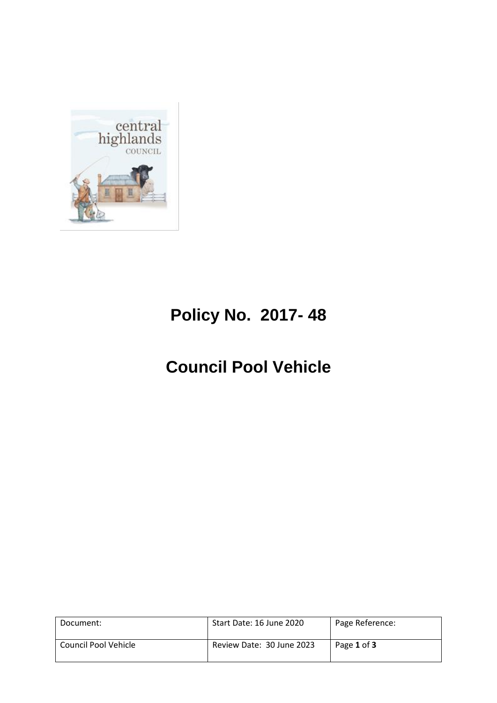

# **Policy No. 2017- 48**

# **Council Pool Vehicle**

| Document:            | Start Date: 16 June 2020  | Page Reference: |
|----------------------|---------------------------|-----------------|
| Council Pool Vehicle | Review Date: 30 June 2023 | Page 1 of 3     |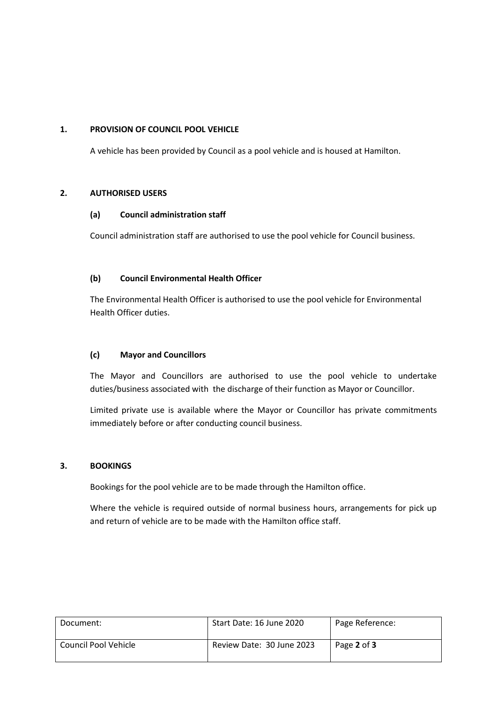## **1. PROVISION OF COUNCIL POOL VEHICLE**

A vehicle has been provided by Council as a pool vehicle and is housed at Hamilton.

#### **2. AUTHORISED USERS**

# **(a) Council administration staff**

Council administration staff are authorised to use the pool vehicle for Council business.

## **(b) Council Environmental Health Officer**

The Environmental Health Officer is authorised to use the pool vehicle for Environmental Health Officer duties.

#### **(c) Mayor and Councillors**

The Mayor and Councillors are authorised to use the pool vehicle to undertake duties/business associated with the discharge of their function as Mayor or Councillor.

Limited private use is available where the Mayor or Councillor has private commitments immediately before or after conducting council business.

#### **3. BOOKINGS**

Bookings for the pool vehicle are to be made through the Hamilton office.

Where the vehicle is required outside of normal business hours, arrangements for pick up and return of vehicle are to be made with the Hamilton office staff.

| Document:            | Start Date: 16 June 2020  | Page Reference: |
|----------------------|---------------------------|-----------------|
| Council Pool Vehicle | Review Date: 30 June 2023 | Page 2 of 3     |